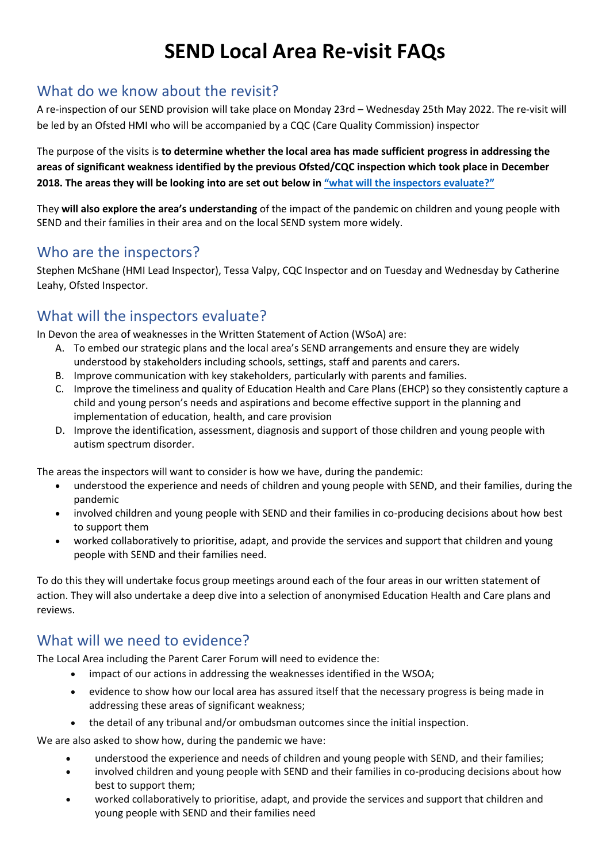# **SEND Local Area Re-visit FAQs**

#### What do we know about the revisit?

A re-inspection of our SEND provision will take place on Monday 23rd – Wednesday 25th May 2022. The re-visit will be led by an Ofsted HMI who will be accompanied by a CQC (Care Quality Commission) inspector

The purpose of the visits is **to determine whether the local area has made sufficient progress in addressing the areas of significant weakness identified by the previous Ofsted/CQC inspection which took place in December 2018. The areas they will be looking into are set out below in "[what will the inspectors evaluate](#page-0-0)?"**

They **will also explore the area's understanding** of the impact of the pandemic on children and young people with SEND and their families in their area and on the local SEND system more widely.

## Who are the inspectors?

Stephen McShane (HMI Lead Inspector), Tessa Valpy, CQC Inspector and on Tuesday and Wednesday by Catherine Leahy, Ofsted Inspector.

## What will the inspectors evaluate?

In Devon the area of weaknesses in the Written Statement of Action (WSoA) are:

- <span id="page-0-0"></span>A. To embed our strategic plans and the local area's SEND arrangements and ensure they are widely understood by stakeholders including schools, settings, staff and parents and carers.
- B. Improve communication with key stakeholders, particularly with parents and families.
- C. Improve the timeliness and quality of Education Health and Care Plans (EHCP) so they consistently capture a child and young person's needs and aspirations and become effective support in the planning and implementation of education, health, and care provision
- D. Improve the identification, assessment, diagnosis and support of those children and young people with autism spectrum disorder.

The areas the inspectors will want to consider is how we have, during the pandemic:

- understood the experience and needs of children and young people with SEND, and their families, during the pandemic
- involved children and young people with SEND and their families in co-producing decisions about how best to support them
- worked collaboratively to prioritise, adapt, and provide the services and support that children and young people with SEND and their families need.

To do this they will undertake focus group meetings around each of the four areas in our written statement of action. They will also undertake a deep dive into a selection of anonymised Education Health and Care plans and reviews.

## What will we need to evidence?

The Local Area including the Parent Carer Forum will need to evidence the:

- impact of our actions in addressing the weaknesses identified in the WSOA;
- evidence to show how our local area has assured itself that the necessary progress is being made in addressing these areas of significant weakness;
- the detail of any tribunal and/or ombudsman outcomes since the initial inspection.

We are also asked to show how, during the pandemic we have:

- understood the experience and needs of children and young people with SEND, and their families;
- involved children and young people with SEND and their families in co-producing decisions about how best to support them;
- worked collaboratively to prioritise, adapt, and provide the services and support that children and young people with SEND and their families need